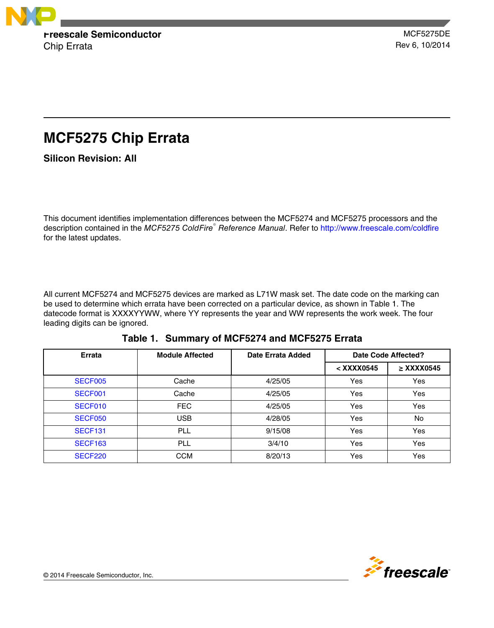

# **MCF5275 Chip Errata**

**Silicon Revision: All**

This document identifies implementation differences between the MCF5274 and MCF5275 processors and the description contained in the *MCF5275 ColdFire*<sup>®</sup> Reference Manual. Refer to<http://www.freescale.com/coldfire> for the latest updates.

All current MCF5274 and MCF5275 devices are marked as L71W mask set. The date code on the marking can be used to determine which errata have been corrected on a particular device, as shown in Table 1. The datecode format is XXXXYYWW, where YY represents the year and WW represents the work week. The four leading digits can be ignored.

| Errata         | <b>Module Affected</b> | Date Errata Added | Date Code Affected? |                 |
|----------------|------------------------|-------------------|---------------------|-----------------|
|                |                        |                   | < XXXX0545          | $\geq$ XXXX0545 |
| SECF005        | Cache                  | 4/25/05           | Yes                 | Yes             |
| SECF001        | Cache                  | 4/25/05           | Yes                 | Yes             |
| SECF010        | <b>FEC</b>             | 4/25/05           | Yes                 | Yes             |
| <b>SECF050</b> | USB                    | 4/28/05           | Yes                 | No              |
| <b>SECF131</b> | PLL                    | 9/15/08           | Yes                 | Yes             |
| <b>SECF163</b> | PLL                    | 3/4/10            | Yes                 | Yes             |
| <b>SECF220</b> | <b>CCM</b>             | 8/20/13           | Yes                 | Yes             |

**Table 1. Summary of MCF5274 and MCF5275 Errata**

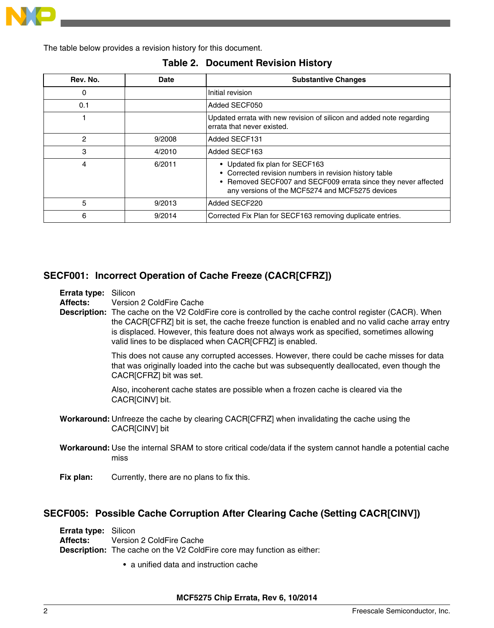<span id="page-1-0"></span>

The table below provides a revision history for this document.

| Rev. No. | Date   | <b>Substantive Changes</b>                                                                                                                                                                                    |  |
|----------|--------|---------------------------------------------------------------------------------------------------------------------------------------------------------------------------------------------------------------|--|
| 0        |        | Initial revision                                                                                                                                                                                              |  |
| 0.1      |        | Added SECF050                                                                                                                                                                                                 |  |
|          |        | Updated errata with new revision of silicon and added note regarding<br>errata that never existed.                                                                                                            |  |
| 2        | 9/2008 | Added SECF131                                                                                                                                                                                                 |  |
| 3        | 4/2010 | Added SECF163                                                                                                                                                                                                 |  |
| 4        | 6/2011 | • Updated fix plan for SECF163<br>• Corrected revision numbers in revision history table<br>• Removed SECF007 and SECF009 errata since they never affected<br>any versions of the MCF5274 and MCF5275 devices |  |
| 5        | 9/2013 | Added SECF220                                                                                                                                                                                                 |  |
| 6        | 9/2014 | Corrected Fix Plan for SECF163 removing duplicate entries.                                                                                                                                                    |  |

### **Table 2. Document Revision History**

## **SECF001: Incorrect Operation of Cache Freeze (CACR[CFRZ])**

**Errata type:** Silicon

**Affects:** Version 2 ColdFire Cache

**Description:** The cache on the V2 ColdFire core is controlled by the cache control register (CACR). When the CACR[CFRZ] bit is set, the cache freeze function is enabled and no valid cache array entry is displaced. However, this feature does not always work as specified, sometimes allowing valid lines to be displaced when CACR[CFRZ] is enabled.

> This does not cause any corrupted accesses. However, there could be cache misses for data that was originally loaded into the cache but was subsequently deallocated, even though the CACR[CFRZ] bit was set.

Also, incoherent cache states are possible when a frozen cache is cleared via the CACR[CINV] bit.

- **Workaround:** Unfreeze the cache by clearing CACR[CFRZ] when invalidating the cache using the CACR[CINV] bit
- **Workaround:** Use the internal SRAM to store critical code/data if the system cannot handle a potential cache miss
- **Fix plan:** Currently, there are no plans to fix this.

### **SECF005: Possible Cache Corruption After Clearing Cache (Setting CACR[CINV])**

**Errata type:** Silicon **Affects:** Version 2 ColdFire Cache **Description:** The cache on the V2 ColdFire core may function as either:

• a unified data and instruction cache

**MCF5275 Chip Errata, Rev 6, 10/2014**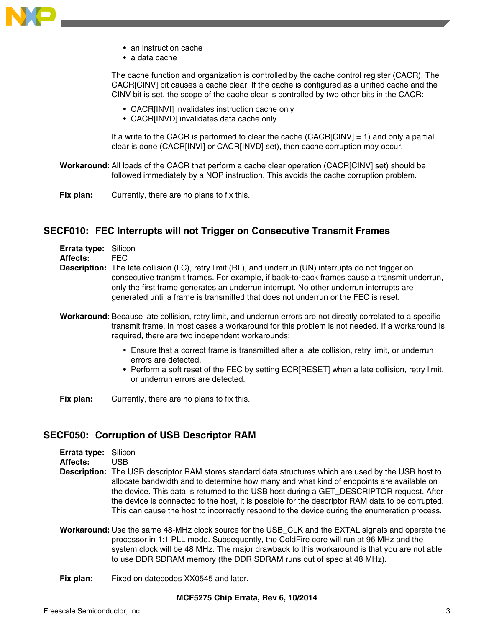<span id="page-2-0"></span>

- an instruction cache
- a data cache

The cache function and organization is controlled by the cache control register (CACR). The CACR[CINV] bit causes a cache clear. If the cache is configured as a unified cache and the CINV bit is set, the scope of the cache clear is controlled by two other bits in the CACR:

- CACR[INVI] invalidates instruction cache only
- CACR[INVD] invalidates data cache only

If a write to the CACR is performed to clear the cache (CACR[CINV] = 1) and only a partial clear is done (CACR[INVI] or CACR[INVD] set), then cache corruption may occur.

- **Workaround:** All loads of the CACR that perform a cache clear operation (CACR[CINV] set) should be followed immediately by a NOP instruction. This avoids the cache corruption problem.
- **Fix plan:** Currently, there are no plans to fix this.

### **SECF010: FEC Interrupts will not Trigger on Consecutive Transmit Frames**

| <b>Errata type: Silicon</b> |     |
|-----------------------------|-----|
| $A = 11 - 11$               | --^ |

- **Affects:** FEC
- **Description:** The late collision (LC), retry limit (RL), and underrun (UN) interrupts do not trigger on consecutive transmit frames. For example, if back-to-back frames cause a transmit underrun, only the first frame generates an underrun interrupt. No other underrun interrupts are generated until a frame is transmitted that does not underrun or the FEC is reset.
- **Workaround:** Because late collision, retry limit, and underrun errors are not directly correlated to a specific transmit frame, in most cases a workaround for this problem is not needed. If a workaround is required, there are two independent workarounds:
	- Ensure that a correct frame is transmitted after a late collision, retry limit, or underrun errors are detected.
	- Perform a soft reset of the FEC by setting ECR[RESET] when a late collision, retry limit, or underrun errors are detected.

**Fix plan:** Currently, there are no plans to fix this.

### **SECF050: Corruption of USB Descriptor RAM**

| Errata type: Silicon |                                                                                                              |
|----------------------|--------------------------------------------------------------------------------------------------------------|
| <b>Affects:</b>      | USB.                                                                                                         |
|                      | <b>Description:</b> The USB descriptor RAM stores standard data structures which are used by the USB host to |
|                      | allocate bandwidth and to determine how many and what kind of endpoints are available on                     |
|                      | the device. This data is returned to the USB host during a GET DESCRIPTOR request. After                     |
|                      | the device is connected to the host, it is possible for the descriptor RAM data to be corrupted.             |
|                      | This can cause the host to incorrectly respond to the device during the enumeration process.                 |

- **Workaround:** Use the same 48-MHz clock source for the USB\_CLK and the EXTAL signals and operate the processor in 1:1 PLL mode. Subsequently, the ColdFire core will run at 96 MHz and the system clock will be 48 MHz. The major drawback to this workaround is that you are not able to use DDR SDRAM memory (the DDR SDRAM runs out of spec at 48 MHz).
- **Fix plan:** Fixed on datecodes XX0545 and later.

#### **MCF5275 Chip Errata, Rev 6, 10/2014**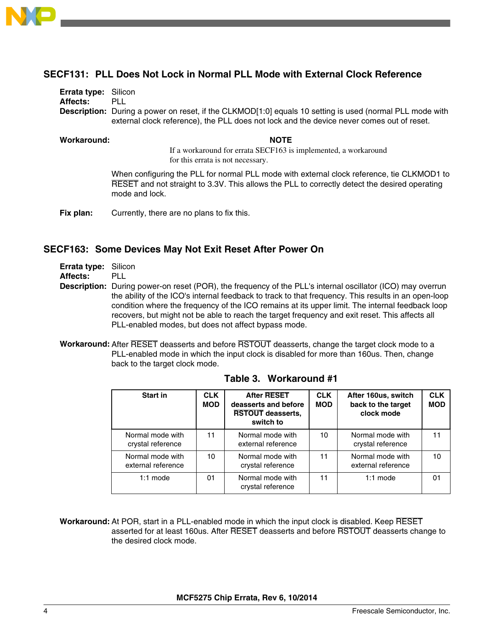<span id="page-3-0"></span>

# **SECF131: PLL Does Not Lock in Normal PLL Mode with External Clock Reference**

| <b>Errata type: Silicon</b> |                                                                                                                 |
|-----------------------------|-----------------------------------------------------------------------------------------------------------------|
| Affects:                    | PLL                                                                                                             |
|                             | <b>Description:</b> During a power on reset, if the CLKMOD[1:0] equals 10 setting is used (normal PLL mode with |
|                             | external clock reference), the PLL does not lock and the device never comes out of reset.                       |
|                             |                                                                                                                 |

### **Workaround: NOTE**

If a workaround for errata SECF163 is implemented, a workaround for this errata is not necessary.

When configuring the PLL for normal PLL mode with external clock reference, tie CLKMOD1 to RESET and not straight to 3.3V. This allows the PLL to correctly detect the desired operating mode and lock.

**Fix plan:** Currently, there are no plans to fix this.

### **SECF163: Some Devices May Not Exit Reset After Power On**

**Errata type:** Silicon

**Affects:** PLL

- **Description:** During power-on reset (POR), the frequency of the PLL's internal oscillator (ICO) may overrun the ability of the ICO's internal feedback to track to that frequency. This results in an open-loop condition where the frequency of the ICO remains at its upper limit. The internal feedback loop recovers, but might not be able to reach the target frequency and exit reset. This affects all PLL-enabled modes, but does not affect bypass mode.
- **Workaround:** After RESET deasserts and before RSTOUT deasserts, change the target clock mode to a PLL-enabled mode in which the input clock is disabled for more than 160us. Then, change back to the target clock mode.

| Start in                               | <b>CLK</b><br><b>MOD</b> | <b>After RESET</b><br>deasserts and before<br><b>RSTOUT deasserts,</b><br>switch to | <b>CLK</b><br><b>MOD</b> | After 160us, switch<br>back to the target<br>clock mode | <b>CLK</b><br><b>MOD</b> |
|----------------------------------------|--------------------------|-------------------------------------------------------------------------------------|--------------------------|---------------------------------------------------------|--------------------------|
| Normal mode with<br>crystal reference  | 11                       | Normal mode with<br>external reference                                              | 10                       | Normal mode with<br>crystal reference                   |                          |
| Normal mode with<br>external reference | 10                       | Normal mode with<br>crystal reference                                               | 11                       | Normal mode with<br>external reference                  | 10                       |
| $1:1$ mode                             | 01                       | Normal mode with<br>crystal reference                                               | 11                       | $1:1$ mode                                              | 01                       |

**Table 3. Workaround #1**

**Workaround:** At POR, start in a PLL-enabled mode in which the input clock is disabled. Keep RESET asserted for at least 160us. After RESET deasserts and before RSTOUT deasserts change to the desired clock mode.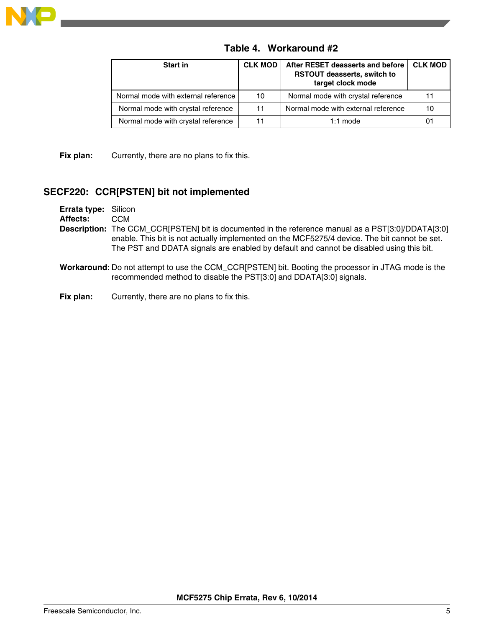<span id="page-4-0"></span>

| <b>Start in</b>                     | <b>CLK MOD</b> | After RESET deasserts and before<br><b>RSTOUT deasserts, switch to</b><br>target clock mode | <b>CLK MOD</b> |
|-------------------------------------|----------------|---------------------------------------------------------------------------------------------|----------------|
| Normal mode with external reference | 10             | Normal mode with crystal reference                                                          | 11             |
| Normal mode with crystal reference  | 11             | Normal mode with external reference                                                         | 10             |
| Normal mode with crystal reference  | 11             | $1:1$ mode                                                                                  |                |

**Table 4. Workaround #2**

**Fix plan:** Currently, there are no plans to fix this.

### **SECF220: CCR[PSTEN] bit not implemented**

**Errata type:** Silicon **Affects:** CCM **Description:** The CCM\_CCR[PSTEN] bit is documented in the reference manual as a PST[3:0]/DDATA[3:0] enable. This bit is not actually implemented on the MCF5275/4 device. The bit cannot be set. The PST and DDATA signals are enabled by default and cannot be disabled using this bit.

- **Workaround:** Do not attempt to use the CCM\_CCR[PSTEN] bit. Booting the processor in JTAG mode is the recommended method to disable the PST[3:0] and DDATA[3:0] signals.
- **Fix plan:** Currently, there are no plans to fix this.